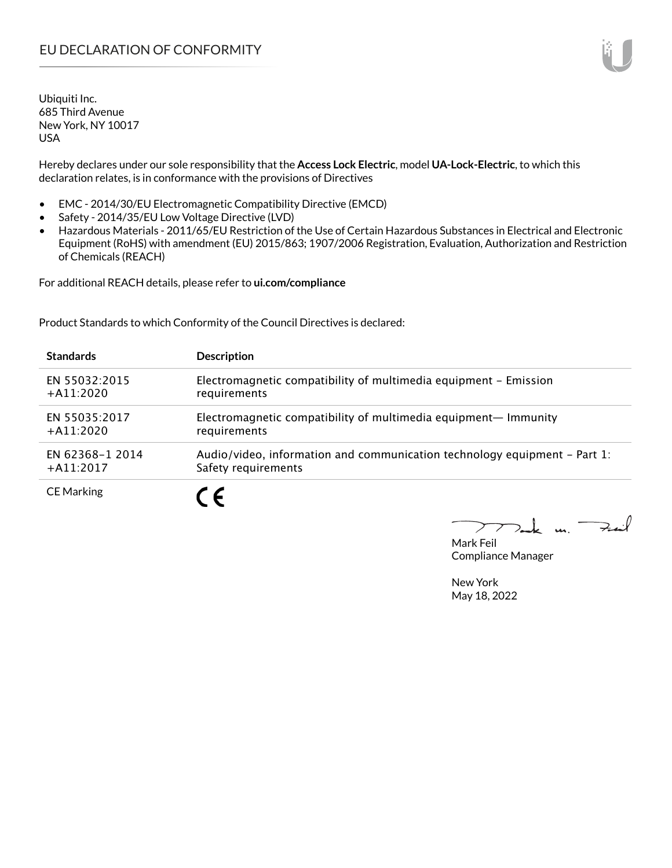Ubiquiti Inc. 685 Third Avenue New York, NY 10017 USA

Hereby declares under our sole responsibility that the **Access Lock Electric**, model **UA-Lock-Electric**, to which this declaration relates, is in conformance with the provisions of Directives

- EMC 2014/30/EU Electromagnetic Compatibility Directive (EMCD)
- Safety 2014/35/EU Low Voltage Directive (LVD)
- Hazardous Materials 2011/65/EU Restriction of the Use of Certain Hazardous Substances in Electrical and Electronic Equipment (RoHS) with amendment (EU) 2015/863; 1907/2006 Registration, Evaluation, Authorization and Restriction of Chemicals (REACH)

For additional REACH details, please refer to **ui.com/compliance**

Product Standards to which Conformity of the Council Directives is declared:

| <b>Standards</b>  | <b>Description</b>                                                        |
|-------------------|---------------------------------------------------------------------------|
| EN 55032:2015     | Electromagnetic compatibility of multimedia equipment - Emission          |
| $+$ A11:2020      | requirements                                                              |
| EN 55035:2017     | Electromagnetic compatibility of multimedia equipment- Immunity           |
| $+$ A11:2020      | requirements                                                              |
| EN 62368-1 2014   | Audio/video, information and communication technology equipment – Part 1: |
| $+$ A11:2017      | Safety requirements                                                       |
| <b>CE Marking</b> |                                                                           |

Tack m. Fail  $\blacktriangleright$ 

Mark Feil Compliance Manager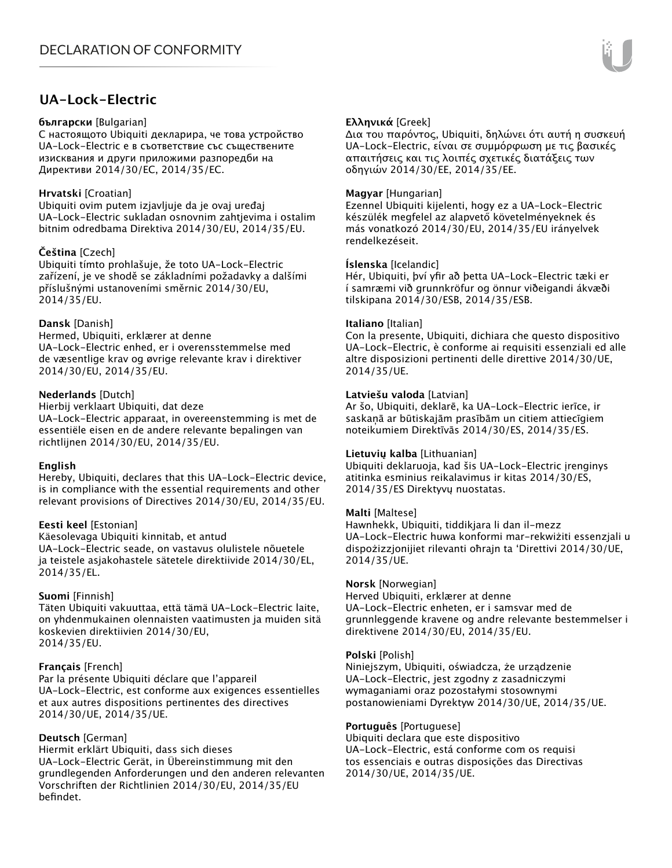## **UA-Lock-Electric**

#### **български** [Bulgarian]

С настоящото Ubiquiti декларира, че това устройство UA-Lock-Electric е в съответствие със съществените изисквания и други приложими разпоредби на Директиви 2014/30/ЕС, 2014/35/ЕС.

### **Hrvatski** [Croatian]

Ubiquiti ovim putem izjavljuje da je ovaj uređaj UA-Lock-Electric sukladan osnovnim zahtjevima i ostalim bitnim odredbama Direktiva 2014/30/EU, 2014/35/EU.

### **Čeština** [Czech]

Ubiquiti tímto prohlašuje, že toto UA-Lock-Electric zařízení, je ve shodě se základními požadavky a dalšími příslušnými ustanoveními směrnic 2014/30/EU, 2014/35/EU.

### **Dansk** [Danish]

Hermed, Ubiquiti, erklærer at denne UA-Lock-Electric enhed, er i overensstemmelse med de væsentlige krav og øvrige relevante krav i direktiver 2014/30/EU, 2014/35/EU.

#### **Nederlands** [Dutch]

Hierbij verklaart Ubiquiti, dat deze UA-Lock-Electric apparaat, in overeenstemming is met de essentiële eisen en de andere relevante bepalingen van richtlijnen 2014/30/EU, 2014/35/EU.

#### **English**

Hereby, Ubiquiti, declares that this UA-Lock-Electric device, is in compliance with the essential requirements and other relevant provisions of Directives 2014/30/EU, 2014/35/EU.

### **Eesti keel** [Estonian]

Käesolevaga Ubiquiti kinnitab, et antud UA-Lock-Electric seade, on vastavus olulistele nõuetele ja teistele asjakohastele sätetele direktiivide 2014/30/EL, 2014/35/EL.

#### **Suomi** [Finnish]

Täten Ubiquiti vakuuttaa, että tämä UA-Lock-Electric laite, on yhdenmukainen olennaisten vaatimusten ja muiden sitä koskevien direktiivien 2014/30/EU, 2014/35/EU.

#### **Français** [French]

Par la présente Ubiquiti déclare que l'appareil UA-Lock-Electric, est conforme aux exigences essentielles et aux autres dispositions pertinentes des directives 2014/30/UE, 2014/35/UE.

#### **Deutsch** [German]

Hiermit erklärt Ubiquiti, dass sich dieses UA-Lock-Electric Gerät, in Übereinstimmung mit den grundlegenden Anforderungen und den anderen relevanten Vorschriften der Richtlinien 2014/30/EU, 2014/35/EU befindet.

### **Ελληνικά** [Greek]

Δια του παρόντος, Ubiquiti, δηλώνει ότι αυτή η συσκευή UA-Lock-Electric, είναι σε συμμόρφωση με τις βασικές απαιτήσεις και τις λοιπές σχετικές διατάξεις των οδηγιών 2014/30/EE, 2014/35/EE.

### **Magyar** [Hungarian]

Ezennel Ubiquiti kijelenti, hogy ez a UA-Lock-Electric készülék megfelel az alapvető követelményeknek és más vonatkozó 2014/30/EU, 2014/35/EU irányelvek rendelkezéseit.

### **Íslenska** [Icelandic]

Hér, Ubiquiti, því yfir að þetta UA-Lock-Electric tæki er í samræmi við grunnkröfur og önnur viðeigandi ákvæði tilskipana 2014/30/ESB, 2014/35/ESB.

#### **Italiano** [Italian]

Con la presente, Ubiquiti, dichiara che questo dispositivo UA-Lock-Electric, è conforme ai requisiti essenziali ed alle altre disposizioni pertinenti delle direttive 2014/30/UE, 2014/35/UE.

#### **Latviešu valoda** [Latvian]

Ar šo, Ubiquiti, deklarē, ka UA-Lock-Electric ierīce, ir saskaņā ar būtiskajām prasībām un citiem attiecīgiem noteikumiem Direktīvās 2014/30/ES, 2014/35/ES.

#### **Lietuvių kalba** [Lithuanian]

Ubiquiti deklaruoja, kad šis UA-Lock-Electric įrenginys atitinka esminius reikalavimus ir kitas 2014/30/ES, 2014/35/ES Direktyvų nuostatas.

#### **Malti** [Maltese]

Hawnhekk, Ubiquiti, tiddikjara li dan il-mezz UA-Lock-Electric huwa konformi mar-rekwiżiti essenzjali u dispożizzjonijiet rilevanti oħrajn ta 'Direttivi 2014/30/UE, 2014/35/UE.

#### **Norsk** [Norwegian]

Herved Ubiquiti, erklærer at denne UA-Lock-Electric enheten, er i samsvar med de grunnleggende kravene og andre relevante bestemmelser i direktivene 2014/30/EU, 2014/35/EU.

#### **Polski** [Polish]

Niniejszym, Ubiquiti, oświadcza, że urządzenie UA-Lock-Electric, jest zgodny z zasadniczymi wymaganiami oraz pozostałymi stosownymi postanowieniami Dyrektyw 2014/30/UE, 2014/35/UE.

#### **Português** [Portuguese]

Ubiquiti declara que este dispositivo UA-Lock-Electric, está conforme com os requisi tos essenciais e outras disposições das Directivas 2014/30/UE, 2014/35/UE.

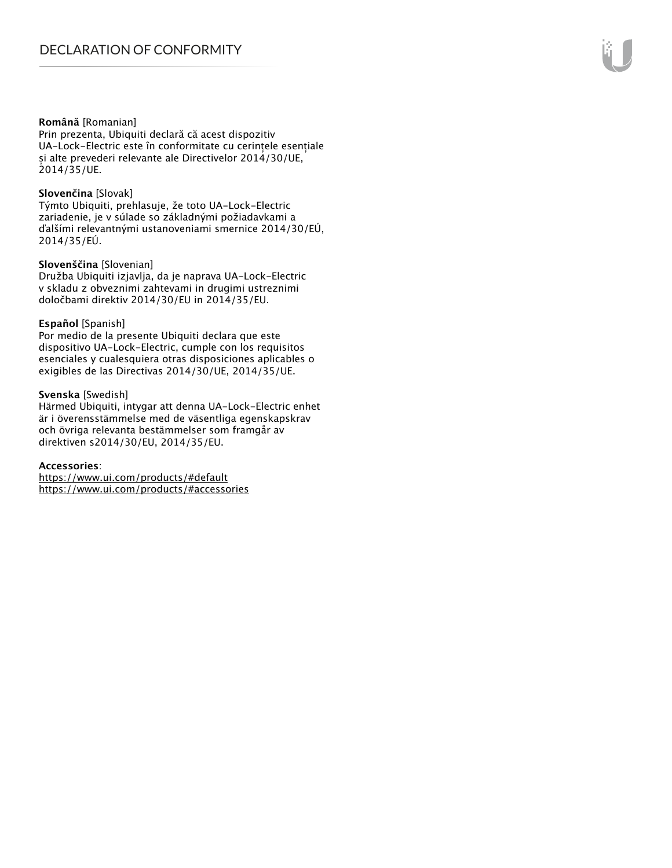#### **Română** [Romanian]

Prin prezenta, Ubiquiti declară că acest dispozitiv UA-Lock-Electric este în conformitate cu cerințele esențiale și alte prevederi relevante ale Directivelor 2014/30/UE, 2014/35/UE.

#### **Slovenčina** [Slovak]

Týmto Ubiquiti, prehlasuje, že toto UA-Lock-Electric zariadenie, je v súlade so základnými požiadavkami a ďalšími relevantnými ustanoveniami smernice 2014/30/EÚ, 2014/35/EÚ.

#### **Slovenščina** [Slovenian]

Družba Ubiquiti izjavlja, da je naprava UA-Lock-Electric v skladu z obveznimi zahtevami in drugimi ustreznimi določbami direktiv 2014/30/EU in 2014/35/EU.

#### **Español** [Spanish]

Por medio de la presente Ubiquiti declara que este dispositivo UA-Lock-Electric, cumple con los requisitos esenciales y cualesquiera otras disposiciones aplicables o exigibles de las Directivas 2014/30/UE, 2014/35/UE.

#### **Svenska** [Swedish]

Härmed Ubiquiti, intygar att denna UA-Lock-Electric enhet är i överensstämmelse med de väsentliga egenskapskrav och övriga relevanta bestämmelser som framgår av direktiven s2014/30/EU, 2014/35/EU.

#### **Accessories**:

https://www.ui.com/products/#default https://www.ui.com/products/#accessories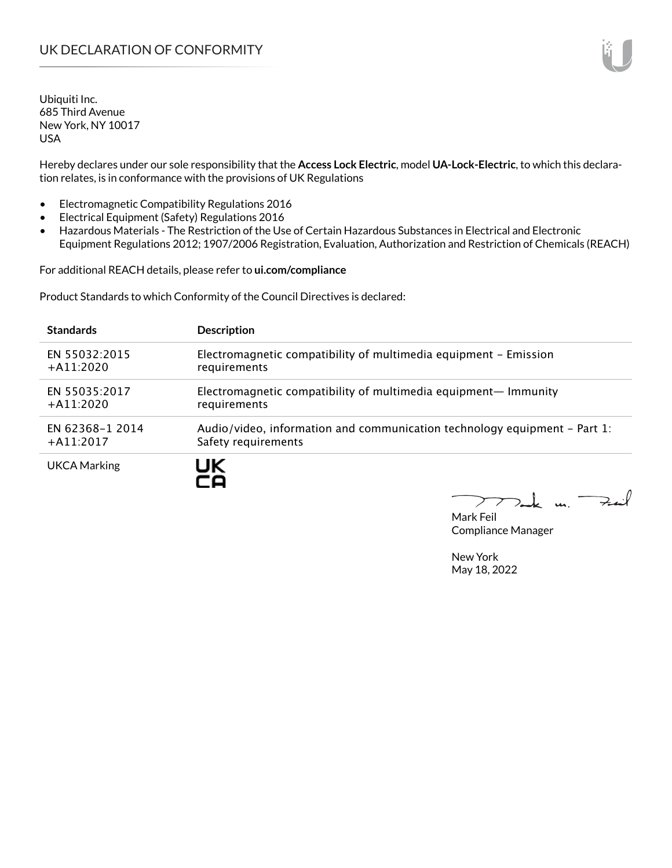Ubiquiti Inc. 685 Third Avenue New York, NY 10017 USA

Hereby declares under our sole responsibility that the **Access Lock Electric**, model **UA-Lock-Electric**, to which this declaration relates, is in conformance with the provisions of UK Regulations

- Electromagnetic Compatibility Regulations 2016
- Electrical Equipment (Safety) Regulations 2016
- Hazardous Materials The Restriction of the Use of Certain Hazardous Substances in Electrical and Electronic Equipment Regulations 2012; 1907/2006 Registration, Evaluation, Authorization and Restriction of Chemicals (REACH)

For additional REACH details, please refer to **ui.com/compliance**

Product Standards to which Conformity of the Council Directives is declared:

| <b>Standards</b>    | <b>Description</b>                                                        |
|---------------------|---------------------------------------------------------------------------|
| EN 55032:2015       | Electromagnetic compatibility of multimedia equipment - Emission          |
| $+A11:2020$         | requirements                                                              |
| EN 55035:2017       | Electromagnetic compatibility of multimedia equipment— Immunity           |
| $+$ A11:2020        | requirements                                                              |
| EN 62368-1 2014     | Audio/video, information and communication technology equipment – Part 1: |
| $+$ A11:2017        | Safety requirements                                                       |
| <b>UKCA Marking</b> | UK                                                                        |

Tak m. Fail  $\sum$ 

Mark Feil Compliance Manager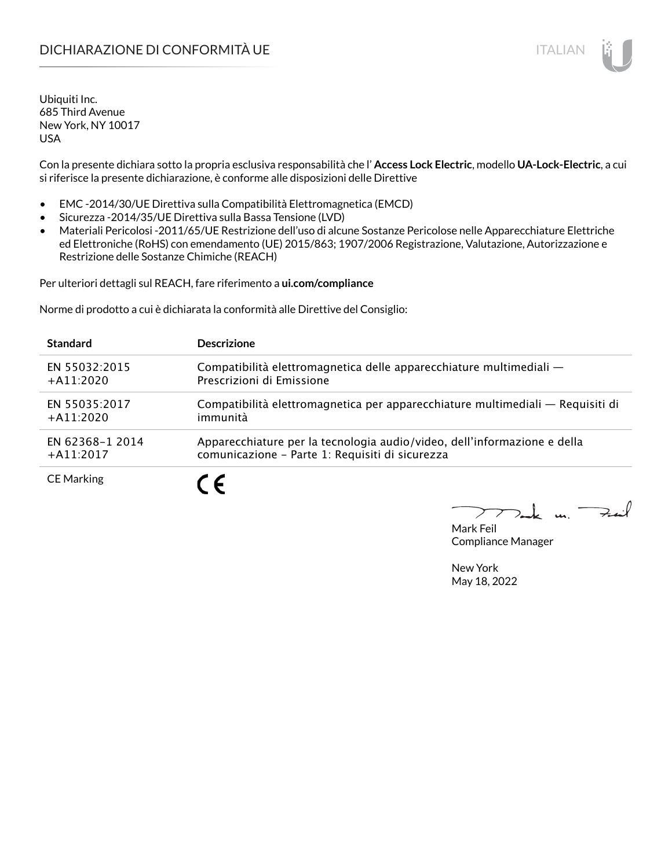# DICHIARAZIONE DI CONFORMITÀ UE ITALIAN ITALIAN

Ubiquiti Inc. 685 Third Avenue New York, NY 10017 USA

Con la presente dichiara sotto la propria esclusiva responsabilità che l' **Access Lock Electric**, modello **UA-Lock-Electric**, a cui si riferisce la presente dichiarazione, è conforme alle disposizioni delle Direttive

- EMC -2014/30/UE Direttiva sulla Compatibilità Elettromagnetica (EMCD)
- Sicurezza -2014/35/UE Direttiva sulla Bassa Tensione (LVD)
- Materiali Pericolosi -2011/65/UE Restrizione dell'uso di alcune Sostanze Pericolose nelle Apparecchiature Elettriche ed Elettroniche (RoHS) con emendamento (UE) 2015/863; 1907/2006 Registrazione, Valutazione, Autorizzazione e Restrizione delle Sostanze Chimiche (REACH)

Per ulteriori dettagli sul REACH, fare riferimento a **ui.com/compliance**

Norme di prodotto a cui è dichiarata la conformità alle Direttive del Consiglio:

| <b>Standard</b>   | <b>Descrizione</b>                                                             |
|-------------------|--------------------------------------------------------------------------------|
| EN 55032:2015     | Compatibilità elettromagnetica delle apparecchiature multimediali —            |
| $+A11:2020$       | Prescrizioni di Emissione                                                      |
| EN 55035:2017     | Compatibilità elettromagnetica per apparecchiature multimediali - Requisiti di |
| $+$ A11:2020      | immunità                                                                       |
| EN 62368-1 2014   | Apparecchiature per la tecnologia audio/video, dell'informazione e della       |
| $+$ A11:2017      | comunicazione - Parte 1: Requisiti di sicurezza                                |
| <b>CE Marking</b> | $\epsilon$                                                                     |

 $u_1$  Fail

Mark Feil Compliance Manager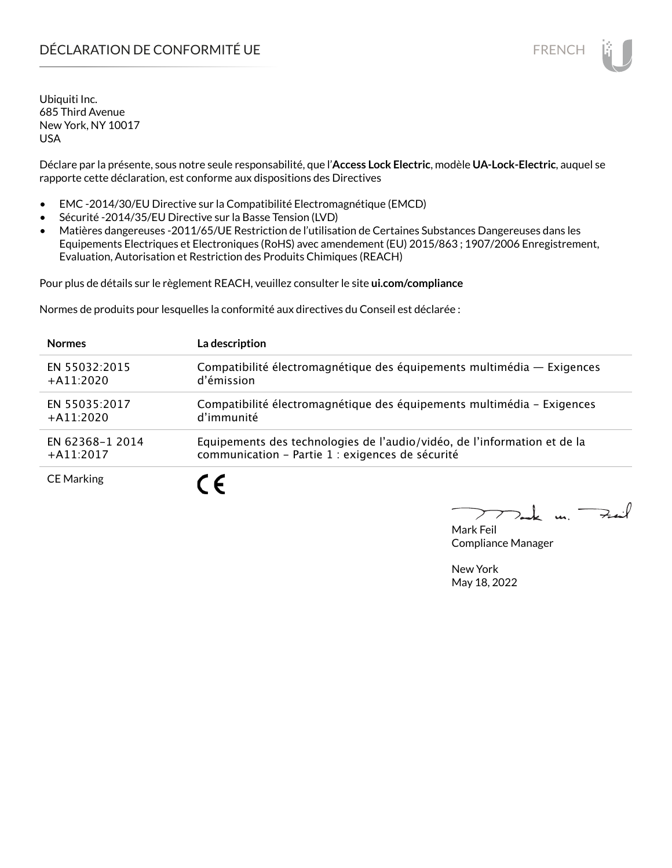# DÉCLARATION DE CONFORMITÉ UE EN ENCHANGEMENT DE CONFORMITÉ UNE ENCHANGEMENT DE CONFORMITÉ UNE ENCHANGEMENT DE

Ubiquiti Inc. 685 Third Avenue New York, NY 10017 USA

Déclare par la présente, sous notre seule responsabilité, que l'**Access Lock Electric**, modèle **UA-Lock-Electric**, auquel se rapporte cette déclaration, est conforme aux dispositions des Directives

- EMC -2014/30/EU Directive sur la Compatibilité Electromagnétique (EMCD)
- Sécurité -2014/35/EU Directive sur la Basse Tension (LVD)
- Matières dangereuses -2011/65/UE Restriction de l'utilisation de Certaines Substances Dangereuses dans les Equipements Electriques et Electroniques (RoHS) avec amendement (EU) 2015/863 ; 1907/2006 Enregistrement, Evaluation, Autorisation et Restriction des Produits Chimiques (REACH)

Pour plus de détails sur le règlement REACH, veuillez consulter le site **ui.com/compliance**

Normes de produits pour lesquelles la conformité aux directives du Conseil est déclarée :

| <b>Normes</b>     | La description                                                           |
|-------------------|--------------------------------------------------------------------------|
| EN 55032:2015     | Compatibilité électromagnétique des équipements multimédia - Exigences   |
| $+$ A11:2020      | d'émission                                                               |
| EN 55035:2017     | Compatibilité électromagnétique des équipements multimédia - Exigences   |
| $+$ A11:2020      | d'immunité                                                               |
| EN 62368-1 2014   | Equipements des technologies de l'audio/vidéo, de l'information et de la |
| $+$ A11:2017      | communication - Partie 1 : exigences de sécurité                         |
| <b>CE Marking</b> | C F                                                                      |

 $k$  un  $\rightarrow$ 

Mark Feil Compliance Manager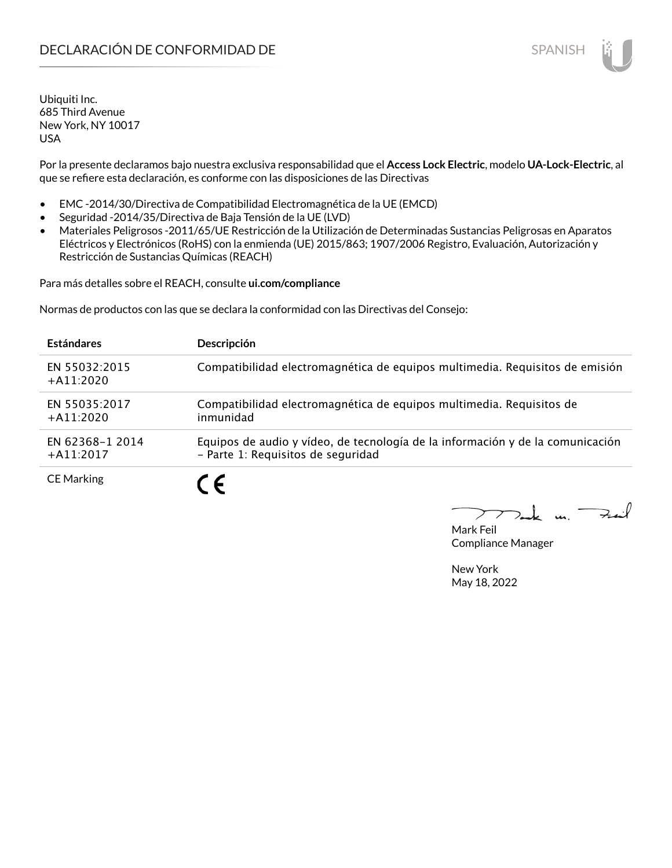# **DECLARACIÓN DE CONFORMIDAD DE SPANISH EN EL SERVIS EN EL SERVISH**

Ubiquiti Inc. 685 Third Avenue New York, NY 10017 USA

Por la presente declaramos bajo nuestra exclusiva responsabilidad que el **Access Lock Electric**, modelo **UA-Lock-Electric**, al que se refiere esta declaración, es conforme con las disposiciones de las Directivas

- EMC -2014/30/Directiva de Compatibilidad Electromagnética de la UE (EMCD)
- Seguridad -2014/35/Directiva de Baja Tensión de la UE (LVD)
- Materiales Peligrosos -2011/65/UE Restricción de la Utilización de Determinadas Sustancias Peligrosas en Aparatos Eléctricos y Electrónicos (RoHS) con la enmienda (UE) 2015/863; 1907/2006 Registro, Evaluación, Autorización y Restricción de Sustancias Químicas (REACH)

Para más detalles sobre el REACH, consulte **ui.com/compliance**

Normas de productos con las que se declara la conformidad con las Directivas del Consejo:

| <b>Estándares</b>               | <b>Descripción</b>                                                                                                   |
|---------------------------------|----------------------------------------------------------------------------------------------------------------------|
| EN 55032:2015<br>$+$ A11:2020   | Compatibilidad electromagnética de equipos multimedia. Requisitos de emisión                                         |
| EN 55035:2017<br>$+$ A11:2020   | Compatibilidad electromagnética de equipos multimedia. Requisitos de<br>inmunidad                                    |
| EN 62368-1 2014<br>$+$ A11:2017 | Equipos de audio y vídeo, de tecnología de la información y de la comunicación<br>- Parte 1: Requisitos de seguridad |
| <b>CE Marking</b>               | C F                                                                                                                  |

 $k$  un Fail

Mark Feil Compliance Manager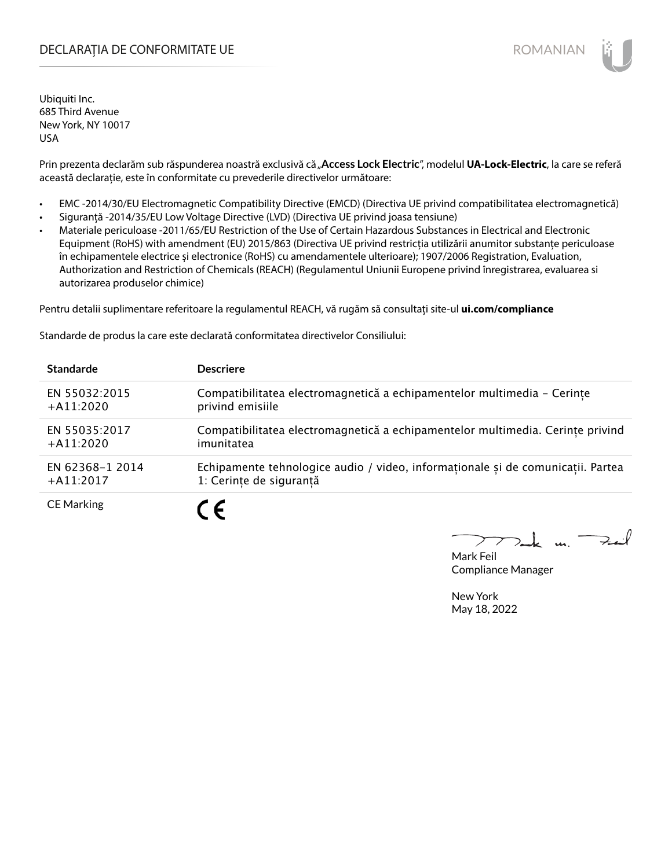## DECLARAȚIA DE CONFORMITATE UE EXECUTE DE ROMANIAN

Ubiquiti Inc. 685 Third Avenue New York, NY 10017 USA

Prin prezenta declarăm sub răspunderea noastră exclusivă că "Access Lock Electric", modelul UA-Lock-Electric, la care se referă această declarație, este în conformitate cu prevederile directivelor următoare:

- EMC -2014/30/EU Electromagnetic Compatibility Directive (EMCD) (Directiva UE privind compatibilitatea electromagnetică)
- Siguranță -2014/35/EU Low Voltage Directive (LVD) (Directiva UE privind joasa tensiune)
- Materiale periculoase -2011/65/EU Restriction of the Use of Certain Hazardous Substances in Electrical and Electronic Equipment (RoHS) with amendment (EU) 2015/863 (Directiva UE privind restricția utilizării anumitor substanțe periculoase în echipamentele electrice și electronice (RoHS) cu amendamentele ulterioare); 1907/2006 Registration, Evaluation, Authorization and Restriction of Chemicals (REACH) (Regulamentul Uniunii Europene privind înregistrarea, evaluarea si autorizarea produselor chimice)

Pentru detalii suplimentare referitoare la regulamentul REACH, vă rugăm să consultați site-ul **ui.com/compliance**

Standarde de produs la care este declarată conformitatea directivelor Consiliului:

| <b>Standarde</b>  | <b>Descriere</b>                                                                |
|-------------------|---------------------------------------------------------------------------------|
| EN 55032:2015     | Compatibilitatea electromagnetică a echipamentelor multimedia - Cerinte         |
| $+A11:2020$       | privind emisiile                                                                |
| EN 55035:2017     | Compatibilitatea electromagnetică a echipamentelor multimedia. Cerințe privind  |
| $+A11:2020$       | imunitatea                                                                      |
| EN 62368-1 2014   | Echipamente tehnologice audio / video, informaționale și de comunicații. Partea |
| $+A11:2017$       | 1: Cerințe de siguranță                                                         |
| <b>CE Marking</b> |                                                                                 |

 $k$  un Feil

Mark Feil Compliance Manager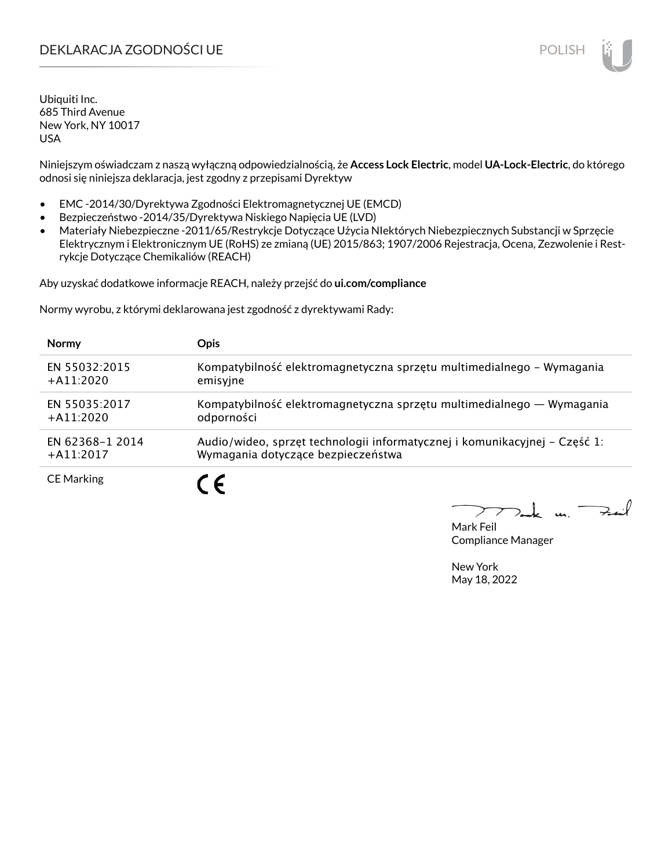## DEKLARACJA ZGODNOŚCI UE POLISH

Ubiquiti Inc. 685 Third Avenue New York, NY 10017 USA

Niniejszym oświadczam z naszą wyłączną odpowiedzialnością, że **Access Lock Electric**, model **UA-Lock-Electric**, do którego odnosi się niniejsza deklaracja, jest zgodny z przepisami Dyrektyw

- EMC -2014/30/Dyrektywa Zgodności Elektromagnetycznej UE (EMCD)
- Bezpieczeństwo -2014/35/Dyrektywa Niskiego Napięcia UE (LVD)
- Materiały Niebezpieczne -2011/65/Restrykcje Dotyczące Użycia NIektórych Niebezpiecznych Substancji w Sprzęcie Elektrycznym i Elektronicznym UE (RoHS) ze zmianą (UE) 2015/863; 1907/2006 Rejestracja, Ocena, Zezwolenie i Restrykcje Dotyczące Chemikaliów (REACH)

Aby uzyskać dodatkowe informacje REACH, należy przejść do **ui.com/compliance**

Normy wyrobu, z którymi deklarowana jest zgodność z dyrektywami Rady:

| <b>Normy</b>      | <b>Opis</b>                                                                |
|-------------------|----------------------------------------------------------------------------|
| EN 55032:2015     | Kompatybilność elektromagnetyczna sprzętu multimedialnego – Wymagania      |
| $+$ A11:2020      | emisyjne                                                                   |
| EN 55035:2017     | Kompatybilność elektromagnetyczna sprzętu multimedialnego — Wymagania      |
| $+$ A11:2020      | odporności                                                                 |
| EN 62368-1 2014   | Audio/wideo, sprzęt technologii informatycznej i komunikacyjnej – Część 1: |
| $+$ A11:2017      | Wymagania dotyczące bezpieczeństwa                                         |
| <b>CE Marking</b> | C F                                                                        |

كنعة

Mark Feil Compliance Manager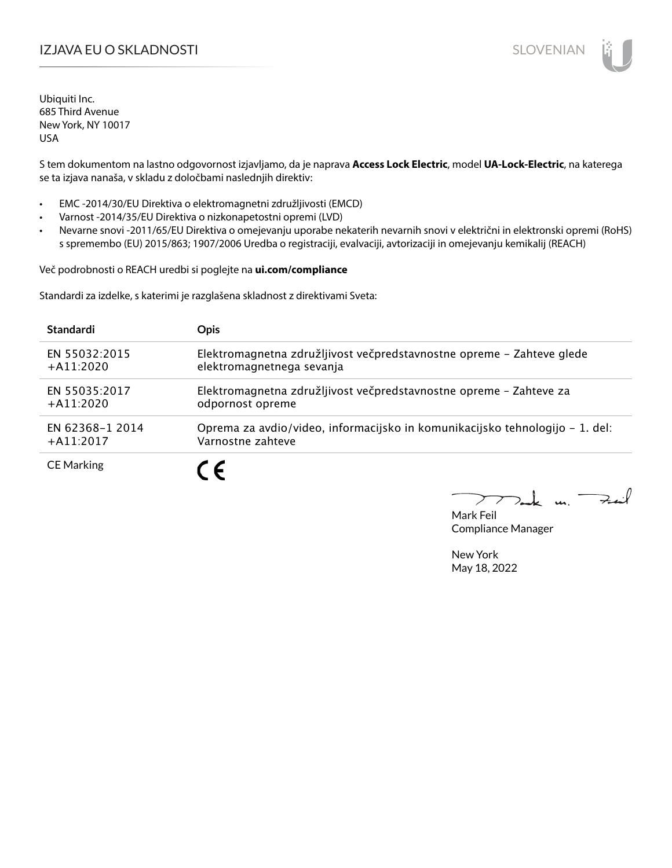## IZJAVA EU O SKLADNOSTI SLOVENIAN

Ubiquiti Inc. 685 Third Avenue New York, NY 10017 USA

S tem dokumentom na lastno odgovornost izjavljamo, da je naprava **Access Lock Electric**, model **UA-Lock-Electric**, na katerega se ta izjava nanaša, v skladu z določbami naslednjih direktiv:

- EMC -2014/30/EU Direktiva o elektromagnetni združljivosti (EMCD)
- Varnost -2014/35/EU Direktiva o nizkonapetostni opremi (LVD)
- Nevarne snovi -2011/65/EU Direktiva o omejevanju uporabe nekaterih nevarnih snovi v električni in elektronski opremi (RoHS) s spremembo (EU) 2015/863; 1907/2006 Uredba o registraciji, evalvaciji, avtorizaciji in omejevanju kemikalij (REACH)

Več podrobnosti o REACH uredbi si poglejte na **ui.com/compliance**

Standardi za izdelke, s katerimi je razglašena skladnost z direktivami Sveta:

| <b>Standardi</b>  | <b>Opis</b>                                                                  |
|-------------------|------------------------------------------------------------------------------|
| EN 55032:2015     | Elektromagnetna združljivost večpredstavnostne opreme – Zahteve glede        |
| $+$ A11:2020      | elektromagnetnega sevanja                                                    |
| EN 55035:2017     | Elektromagnetna združljivost večpredstavnostne opreme - Zahteve za           |
| $+A11:2020$       | odpornost opreme                                                             |
| EN 62368-1 2014   | Oprema za avdio/video, informacijsko in komunikacijsko tehnologijo – 1. del: |
| $+$ A11:2017      | Varnostne zahteve                                                            |
| <b>CE Marking</b> |                                                                              |

 $k$  un  $\rightarrow$ 

Mark Feil Compliance Manager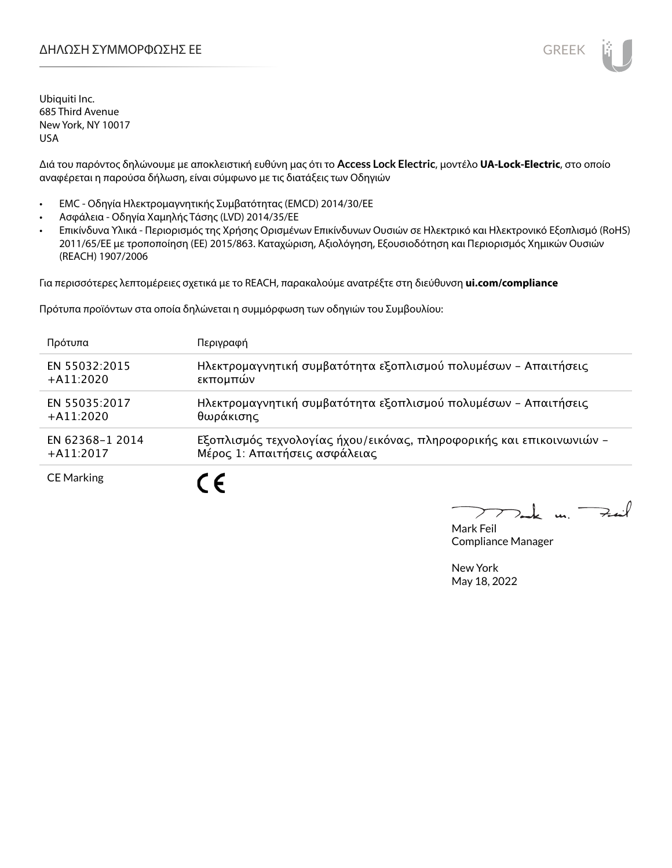

Ubiquiti Inc. 685 Third Avenue New York, NY 10017 USA

Διά του παρόντος δηλώνουμε με αποκλειστική ευθύνη μας ότι το **Access Lock Electric**, μοντέλο **UA-Lock-Electric**, στο οποίο αναφέρεται η παρούσα δήλωση, είναι σύμφωνο με τις διατάξεις των Οδηγιών

- EMC Οδηγία Ηλεκτρομαγνητικής Συμβατότητας (EMCD) 2014/30/ΕΕ
- Ασφάλεια Οδηγία Χαμηλής Τάσης (LVD) 2014/35/ΕΕ
- Επικίνδυνα Υλικά Περιορισμός της Χρήσης Ορισμένων Επικίνδυνων Ουσιών σε Ηλεκτρικό και Ηλεκτρονικό Εξοπλισμό (RoHS) 2011/65/ΕΕ με τροποποίηση (ΕΕ) 2015/863. Καταχώριση, Αξιολόγηση, Εξουσιοδότηση και Περιορισμός Χημικών Ουσιών (REACH) 1907/2006

Για περισσότερες λεπτομέρειες σχετικά με το REACH, παρακαλούμε ανατρέξτε στη διεύθυνση **ui.com/compliance**

Πρότυπα προϊόντων στα οποία δηλώνεται η συμμόρφωση των οδηγιών του Συμβουλίου:

| Πρότυπα           | Περιγραφή                                                            |
|-------------------|----------------------------------------------------------------------|
| EN 55032:2015     | Ηλεκτρομαγνητική συμβατότητα εξοπλισμού πολυμέσων - Απαιτήσεις       |
| $+A11:2020$       | εκπομπών                                                             |
| EN 55035:2017     | Ηλεκτρομαγνητική συμβατότητα εξοπλισμού πολυμέσων - Απαιτήσεις       |
| $+$ A11:2020      | θωράκισης                                                            |
| EN 62368-1 2014   | Εξοπλισμός τεχνολογίας ήχου/εικόνας, πληροφορικής και επικοινωνιών - |
| $+$ A11:2017      | Μέρος 1: Απαιτήσεις ασφάλειας                                        |
| <b>CE Marking</b> |                                                                      |

 $\mu$   $\rightarrow$ 

Mark Feil Compliance Manager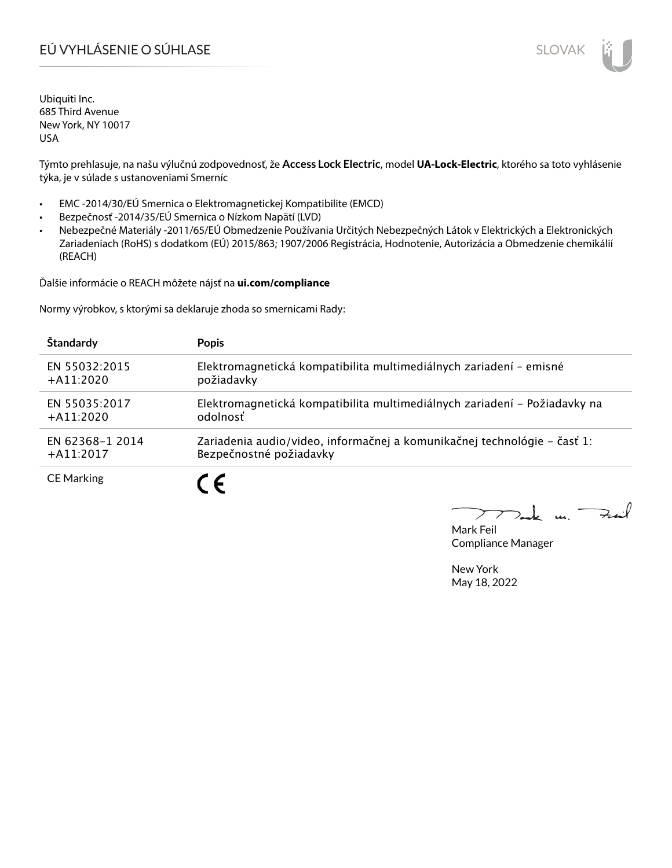# EÚ VYHLÁSENIE O SÚHLASE SLOVAK SLOVAK

Ubiquiti Inc. 685 Third Avenue New York, NY 10017 USA

Týmto prehlasuje, na našu výlučnú zodpovednosť, že **Access Lock Electric**, model **UA-Lock-Electric**, ktorého sa toto vyhlásenie týka, je v súlade s ustanoveniami Smerníc

- EMC -2014/30/EÚ Smernica o Elektromagnetickej Kompatibilite (EMCD)
- Bezpečnosť -2014/35/EÚ Smernica o Nízkom Napätí (LVD)
- Nebezpečné Materiály -2011/65/EÚ Obmedzenie Používania Určitých Nebezpečných Látok v Elektrických a Elektronických Zariadeniach (RoHS) s dodatkom (EÚ) 2015/863; 1907/2006 Registrácia, Hodnotenie, Autorizácia a Obmedzenie chemikálií (REACH)

Ďalšie informácie o REACH môžete nájsť na **ui.com/compliance**

Normy výrobkov, s ktorými sa deklaruje zhoda so smernicami Rady:

| Štandardy         | <b>Popis</b>                                                              |
|-------------------|---------------------------------------------------------------------------|
| EN 55032:2015     | Elektromagnetická kompatibilita multimediálnych zariadení - emisné        |
| $+$ A11:2020      | požiadavky                                                                |
| EN 55035:2017     | Elektromagnetická kompatibilita multimediálnych zariadení - Požiadavky na |
| $+$ A11:2020      | odolnosť                                                                  |
| EN 62368-1 2014   | Zariadenia audio/video, informačnej a komunikačnej technológie – časť 1:  |
| $+$ A11:2017      | Bezpečnostné požiadavky                                                   |
| <b>CE Marking</b> |                                                                           |

 $u_1$  Fail

Mark Feil Compliance Manager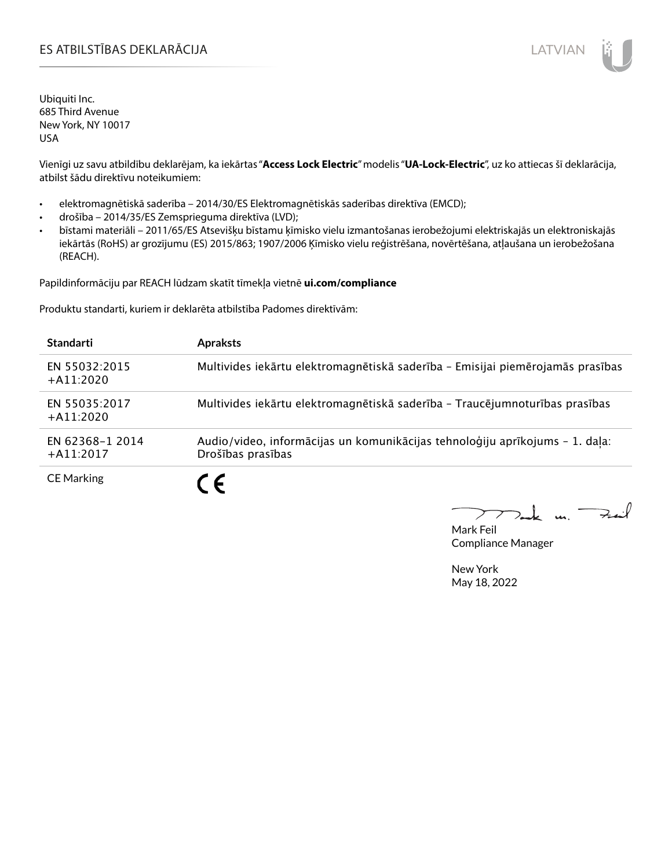## ES ATBILSTĪBAS DEKLARĀCIJA LATVIAN

Ubiquiti Inc. 685 Third Avenue New York, NY 10017 USA

Vienīgi uz savu atbildību deklarējam, ka iekārtas "**Access Lock Electric**" modelis "**UA-Lock-Electric**", uz ko attiecas šī deklarācija, atbilst šādu direktīvu noteikumiem:

- elektromagnētiskā saderība 2014/30/ES Elektromagnētiskās saderības direktīva (EMCD);
- drošība 2014/35/ES Zemsprieguma direktīva (LVD);
- bīstami materiāli 2011/65/ES Atsevišķu bīstamu ķīmisko vielu izmantošanas ierobežojumi elektriskajās un elektroniskajās iekārtās (RoHS) ar grozījumu (ES) 2015/863; 1907/2006 Ķīmisko vielu reģistrēšana, novērtēšana, atļaušana un ierobežošana (REACH).

Papildinformāciju par REACH lūdzam skatīt tīmekļa vietnē **ui.com/compliance**

Produktu standarti, kuriem ir deklarēta atbilstība Padomes direktīvām:

| <b>Standarti</b>                | <b>Apraksts</b>                                                                                   |
|---------------------------------|---------------------------------------------------------------------------------------------------|
| EN 55032:2015<br>$+$ A11:2020   | Multivides iekārtu elektromagnētiskā saderība - Emisijai piemērojamās prasības                    |
| EN 55035:2017<br>$+A11:2020$    | Multivides iekārtu elektromagnētiskā saderība - Traucējumnoturības prasības                       |
| EN 62368-1 2014<br>$+$ A11:2017 | Audio/video, informācijas un komunikācijas tehnoloģiju aprīkojums - 1. daļa:<br>Drošības prasības |
| <b>CE Marking</b>               | C E                                                                                               |

 $k$  un  $\rightarrow$ 

Mark Feil Compliance Manager